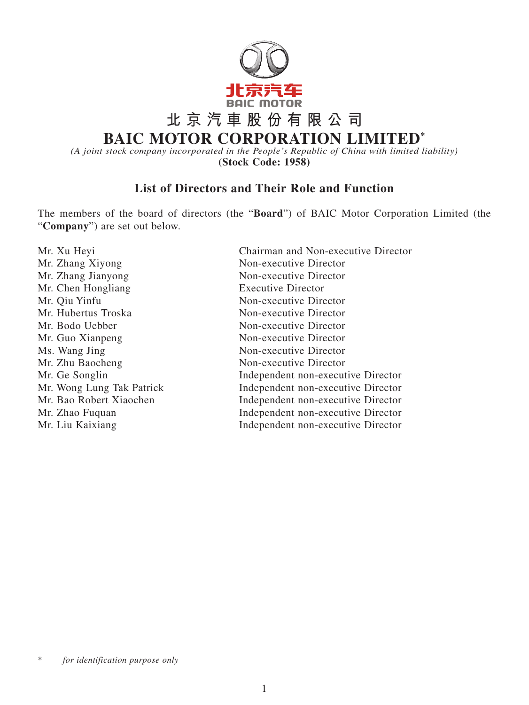

**BAIC MOTOR CORPORATION LIMITED\***

*(A joint stock company incorporated in the People's Republic of China with limited liability)* **(Stock Code: 1958)**

## **List of Directors and Their Role and Function**

The members of the board of directors (the "**Board**") of BAIC Motor Corporation Limited (the "**Company**") are set out below.

Mr. Zhang Xiyong Non-executive Director Mr. Zhang Jianyong Non-executive Director Mr. Chen Hongliang Executive Director Mr. Qiu Yinfu Non-executive Director Mr. Hubertus Troska Non-executive Director Mr. Bodo Uebber Non-executive Director Mr. Guo Xianpeng Non-executive Director Ms. Wang Jing Non-executive Director Mr. Zhu Baocheng Non-executive Director

Mr. Xu Heyi Chairman and Non-executive Director Mr. Ge Songlin Independent non-executive Director Mr. Wong Lung Tak Patrick Independent non-executive Director Mr. Bao Robert Xiaochen Independent non-executive Director Mr. Zhao Fuquan **Independent non-executive Director** Mr. Liu Kaixiang Independent non-executive Director

for *identification* purpose only